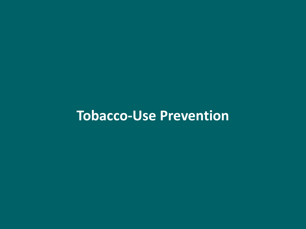# **Tobacco-Use Prevention**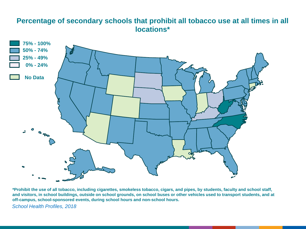#### **Percentage of secondary schools that prohibit all tobacco use at all times in all locations\***



**\*Prohibit the use of all tobacco, including cigarettes, smokeless tobacco, cigars, and pipes, by students, faculty and school staff, and visitors, in school buildings, outside on school grounds, on school buses or other vehicles used to transport students, and at off-campus, school-sponsored events, during school hours and non-school hours.**

*School Health Profiles, 2018*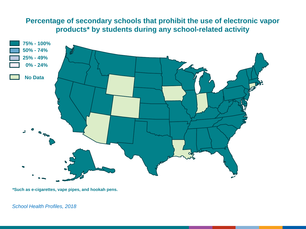## **Percentage of secondary schools that prohibit the use of electronic vapor products\* by students during any school-related activity**



**\*Such as e-cigarettes, vape pipes, and hookah pens.**

*School Health Profiles, 2018*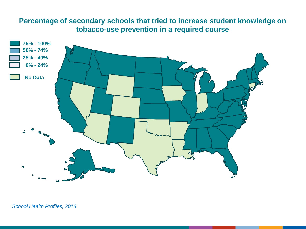### **Percentage of secondary schools that tried to increase student knowledge on tobacco-use prevention in a required course**

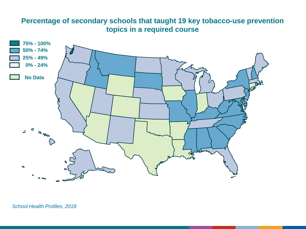## **Percentage of secondary schools that taught 19 key tobacco-use prevention topics in a required course**